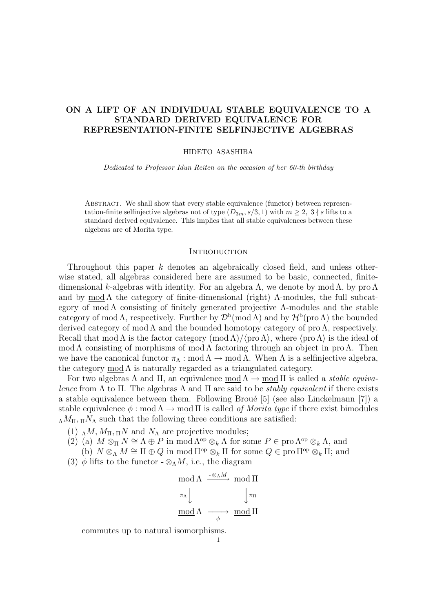# **ON A LIFT OF AN INDIVIDUAL STABLE EQUIVALENCE TO A STANDARD DERIVED EQUIVALENCE FOR REPRESENTATION-FINITE SELFINJECTIVE ALGEBRAS**

#### HIDETO ASASHIBA

*Dedicated to Professor Idun Reiten on the occasion of her 60-th birthday*

ABSTRACT. We shall show that every stable equivalence (functor) between representation-finite selfinjective algebras not of type  $(D_{3m}, s/3, 1)$  with  $m \geq 2$ ,  $3 \nmid s$  lifts to a standard derived equivalence. This implies that all stable equivalences between these algebras are of Morita type.

### **INTRODUCTION**

Throughout this paper *k* denotes an algebraically closed field, and unless otherwise stated, all algebras considered here are assumed to be basic, connected, finitedimensional *k*-algebras with identity. For an algebra Λ, we denote by mod Λ, by pro Λ and by mod  $\Lambda$  the category of finite-dimensional (right)  $\Lambda$ -modules, the full subcategory of mod  $\Lambda$  consisting of finitely generated projective  $\Lambda$ -modules and the stable category of mod  $\Lambda$ , respectively. Further by  $\mathcal{D}^{\rm b}(\text{mod }\Lambda)$  and by  $\mathcal{H}^{\rm b}(\text{pro }\Lambda)$  the bounded derived category of mod  $\Lambda$  and the bounded homotopy category of pro  $\Lambda$ , respectively. Recall that mod  $\Lambda$  is the factor category (mod  $\Lambda$ )/ $\langle$ pro  $\Lambda \rangle$ , where  $\langle$ pro  $\Lambda \rangle$  is the ideal of mod Λ consisting of morphisms of mod Λ factoring through an object in pro Λ. Then we have the canonical functor  $\pi_\Lambda : \text{mod } \Lambda \to \text{mod } \Lambda$ . When  $\Lambda$  is a selfinjective algebra, the category mod  $\Lambda$  is naturally regarded as a triangulated category.

For two algebras Λ and Π, an equivalence modΛ *→* mod Π is called a *stable equivalence* from  $\Lambda$  to  $\Pi$ . The algebras  $\Lambda$  and  $\Pi$  are said to be *stably equivalent* if there exists a stable equivalence between them. Following Broué  $[5]$  (see also Linckelmann  $[7]$ ) a stable equivalence  $\phi : \text{mod }\Lambda \to \text{mod } \Pi$  is called *of Morita type* if there exist bimodules  $\Lambda M_{\Pi}$ ,  $\Lambda N_{\Lambda}$  such that the following three conditions are satisfied:

- (1)  $_{\Lambda}$ *M*,  $M_{\Pi}$ ,  $_{\Pi}$ *N* and  $N_{\Lambda}$  are projective modules;
- (2) (a)  $M \otimes_{\Pi} N \cong \Lambda \oplus P$  in mod  $\Lambda^{op} \otimes_k \Lambda$  for some  $P \in \text{pro } \Lambda^{op} \otimes_k \Lambda$ , and
	- (b)  $N \otimes_{\Lambda} M \cong \Pi \oplus Q$  in mod  $\Pi^{\text{op}} \otimes_k \Pi$  for some  $Q \in \text{pro } \Pi^{\text{op}} \otimes_k \Pi$ ; and
- (3)  $\phi$  lifts to the functor  $-\otimes_{\Lambda} M$ , i.e., the diagram

$$
\begin{array}{ccc}\n\mod \Lambda & \xrightarrow{-\otimes_{\Lambda} M} & \mod \Pi \\
\pi_{\Lambda} & & \downarrow \pi_{\Pi} \\
\underline{\mod} \Lambda & \xrightarrow{\phi} & \mod \Pi\n\end{array}
$$

commutes up to natural isomorphisms.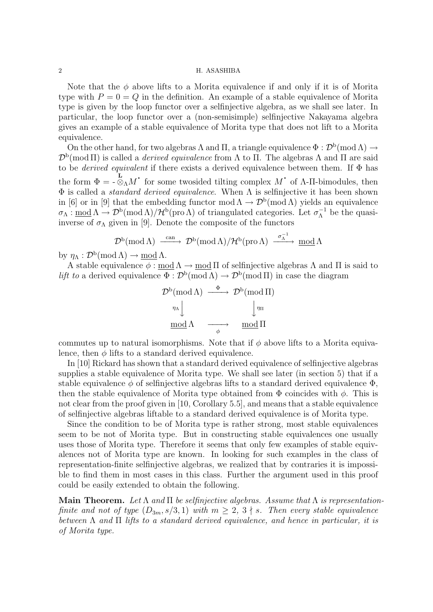Note that the  $\phi$  above lifts to a Morita equivalence if and only if it is of Morita type with  $P = 0 = Q$  in the definition. An example of a stable equivalence of Morita type is given by the loop functor over a selfinjective algebra, as we shall see later. In particular, the loop functor over a (non-semisimple) selfinjective Nakayama algebra gives an example of a stable equivalence of Morita type that does not lift to a Morita equivalence.

On the other hand, for two algebras  $\Lambda$  and  $\Pi$ , a triangle equivalence  $\Phi : \mathcal{D}^{\rm b}(\text{mod }\Lambda) \to$  $\mathcal{D}^{\rm b}(\text{mod }\Pi)$  is called a *derived equivalence* from  $\Lambda$  to  $\Pi$ . The algebras  $\Lambda$  and  $\Pi$  are said to be *derived equivalent* if there exists a derived equivalence between them. If Φ has the form  $\Phi = -\overline{\otimes}_{\Lambda} M$ <sup>*·*</sup> for some twosided tilting complex  $M$ <sup>*·*</sup> of  $\Lambda$ -Π-bimodules, then Φ is called a *standard derived equivalence*. When Λ is selfinjective it has been shown in [6] or in [9] that the embedding functor mod  $\Lambda \to \mathcal{D}^b(\text{mod }\Lambda)$  yields an equivalence  $\sigma_{\Lambda} : \underline{\text{mod}} \Lambda \to \mathcal{D}^{\text{b}}(\text{mod }\Lambda)/\mathcal{H}^{\text{b}}(\text{pro }\Lambda)$  of triangulated categories. Let  $\sigma_{\Lambda}^{-1}$  be the quasiinverse of  $\sigma_{\Lambda}$  given in [9]. Denote the composite of the functors

$$
\mathcal{D}^b(\operatorname{mod} \Lambda) \xrightarrow{\operatorname{can}} \mathcal{D}^b(\operatorname{mod} \Lambda)/\mathcal{H}^b(\operatorname{pro} \Lambda) \xrightarrow{\sigma_{\Lambda}^{-1}} \operatorname{mod} \Lambda
$$

by  $\eta_{\Lambda}: \mathcal{D}^{\mathrm{b}}(\operatorname{mod} \Lambda) \to \underline{\operatorname{mod}} \Lambda.$ 

A stable equivalence  $\phi : \text{mod } \Lambda \to \text{mod } \Pi$  of selfinjective algebras  $\Lambda$  and  $\Pi$  is said to *lift to* a derived equivalence  $\Phi : \mathcal{D}^b(\text{mod }\Lambda) \to \mathcal{D}^b(\text{mod }\Pi)$  in case the diagram

$$
\mathcal{D}^{b}(\text{mod }\Lambda) \xrightarrow{\Phi} \mathcal{D}^{b}(\text{mod }\Pi)
$$

$$
\eta_{\Lambda} \downarrow \qquad \qquad \downarrow \eta_{\Pi}
$$

$$
\underline{\text{mod }\Lambda} \qquad \longrightarrow \qquad \underline{\text{mod }\Pi}
$$

commutes up to natural isomorphisms. Note that if  $\phi$  above lifts to a Morita equivalence, then  $\phi$  lifts to a standard derived equivalence.

In [10] Rickard has shown that a standard derived equivalence of selfinjective algebras supplies a stable equivalence of Morita type. We shall see later (in section 5) that if a stable equivalence  $\phi$  of selfinjective algebras lifts to a standard derived equivalence  $\Phi$ , then the stable equivalence of Morita type obtained from  $\Phi$  coincides with  $\phi$ . This is not clear from the proof given in [10, Corollary 5.5], and means that a stable equivalence of selfinjective algebras liftable to a standard derived equivalence is of Morita type.

Since the condition to be of Morita type is rather strong, most stable equivalences seem to be not of Morita type. But in constructing stable equivalences one usually uses those of Morita type. Therefore it seems that only few examples of stable equivalences not of Morita type are known. In looking for such examples in the class of representation-finite selfinjective algebras, we realized that by contraries it is impossible to find them in most cases in this class. Further the argument used in this proof could be easily extended to obtain the following.

**Main Theorem.** Let  $\Lambda$  and  $\Pi$  be selfinjective algebras. Assume that  $\Lambda$  is representation*finite and not of type*  $(D_{3m}, s/3, 1)$  *with*  $m \geq 2, 3 \nmid s$ . *Then every stable equivalence between* Λ *and* Π *lifts to a standard derived equivalence, and hence in particular, it is of Morita type.*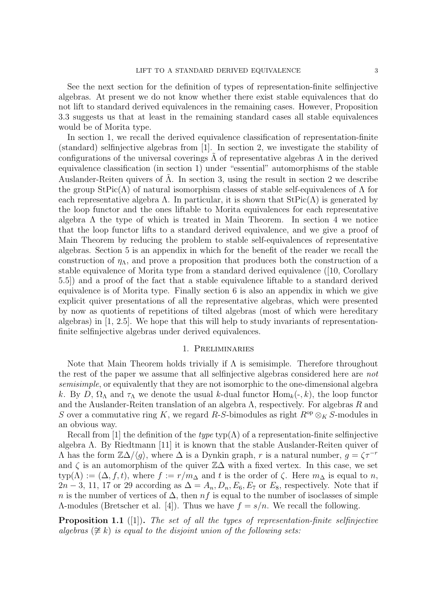See the next section for the definition of types of representation-finite selfinjective algebras. At present we do not know whether there exist stable equivalences that do not lift to standard derived equivalences in the remaining cases. However, Proposition 3.3 suggests us that at least in the remaining standard cases all stable equivalences would be of Morita type.

In section 1, we recall the derived equivalence classification of representation-finite (standard) selfinjective algebras from [1]. In section 2, we investigate the stability of configurations of the universal coverings  $\Lambda$  of representative algebras  $\Lambda$  in the derived equivalence classification (in section 1) under "essential" automorphisms of the stable Auslander-Reiten quivers of  $\Lambda$ . In section 3, using the result in section 2 we describe the group  $StPic(\Lambda)$  of natural isomorphism classes of stable self-equivalences of  $\Lambda$  for each representative algebra  $\Lambda$ . In particular, it is shown that  $StPic(\Lambda)$  is generated by the loop functor and the ones liftable to Morita equivalences for each representative algebra  $\Lambda$  the type of which is treated in Main Theorem. In section 4 we notice that the loop functor lifts to a standard derived equivalence, and we give a proof of Main Theorem by reducing the problem to stable self-equivalences of representative algebras. Section 5 is an appendix in which for the benefit of the reader we recall the construction of  $\eta_{\Lambda}$ , and prove a proposition that produces both the construction of a stable equivalence of Morita type from a standard derived equivalence ([10, Corollary 5.5]) and a proof of the fact that a stable equivalence liftable to a standard derived equivalence is of Morita type. Finally section 6 is also an appendix in which we give explicit quiver presentations of all the representative algebras, which were presented by now as quotients of repetitions of tilted algebras (most of which were hereditary algebras) in [1, 2.5]. We hope that this will help to study invariants of representationfinite selfinjective algebras under derived equivalences.

### 1. Preliminaries

Note that Main Theorem holds trivially if  $\Lambda$  is semisimple. Therefore throughout the rest of the paper we assume that all selfinjective algebras considered here are *not semisimple*, or equivalently that they are not isomorphic to the one-dimensional algebra *k*. By *D*,  $\Omega_{\Lambda}$  and  $\tau_{\Lambda}$  we denote the usual *k*-dual functor Hom<sub>*k*</sub>(-*, k*), the loop functor and the Auslander-Reiten translation of an algebra Λ, respectively. For algebras *R* and *S* over a commutative ring *K*, we regard *R*-*S*-bimodules as right  $R^{op} \otimes_K S$ -modules in an obvious way.

Recall from [1] the definition of the *type* typ( $\Lambda$ ) of a representation-finite selfinjective algebra  $\Lambda$ . By Riedtmann [11] it is known that the stable Auslander-Reiten quiver of  $\Lambda$  has the form  $\mathbb{Z}\Delta/\langle g \rangle$ , where  $\Delta$  is a Dynkin graph, *r* is a natural number,  $g = \zeta \tau^{-r}$ and  $\zeta$  is an automorphism of the quiver  $\mathbb{Z}\Delta$  with a fixed vertex. In this case, we set  $\textrm{typ}(\Lambda) := (\Delta, f, t)$ , where  $f := r/m_{\Delta}$  and  $t$  is the order of  $\zeta$ . Here  $m_{\Delta}$  is equal to  $n$ , 2*n* − 3, 11, 17 or 29 according as  $\Delta = A_n, D_n, E_6, E_7$  or  $E_8$ , respectively. Note that if *n* is the number of vertices of  $\Delta$ , then *nf* is equal to the number of isoclasses of simple Λ-modules (Bretscher et al. [4]). Thus we have *f* = *s/n*. We recall the following.

**Proposition 1.1** ([1])**.** *The set of all the types of representation-finite selfinjective algebras* (*6∼*= *k*) *is equal to the disjoint union of the following sets:*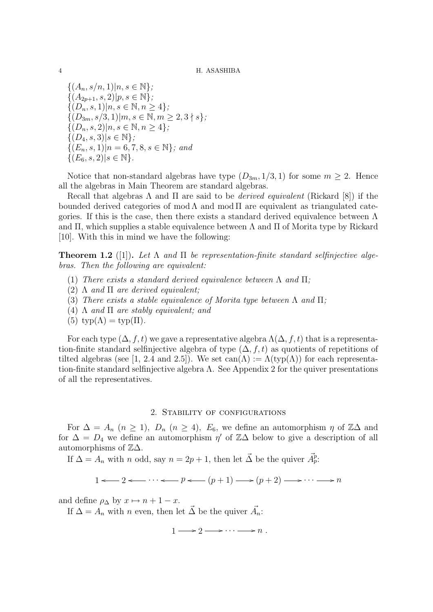${(A_n, s/n, 1)|n, s \in \mathbb{N}};$  $\{(A_{2p+1}, s, 2)|p, s \in \mathbb{N}\};$  ${(D_n, s, 1)|n, s \in \mathbb{N}, n \geq 4}$  ${(D_{3m}, s/3, 1)|m, s \in \mathbb{N}, m \geq 2, 3 \nmid s};$  ${(D_n, s, 2)|n, s \in \mathbb{N}, n \geq 4};$  $\{(D_4, s, 3)|s \in \mathbb{N}\}\;$ *{*(*En, s,* 1)*|n* = 6*,* 7*,* 8*, s ∈* N*}; and*  $\{(E_6, s, 2)|s \in \mathbb{N}\}.$ 

Notice that non-standard algebras have type  $(D_{3m}, 1/3, 1)$  for some  $m \geq 2$ . Hence all the algebras in Main Theorem are standard algebras.

Recall that algebras Λ and Π are said to be *derived equivalent* (Rickard [8]) if the bounded derived categories of mod  $\Lambda$  and mod  $\Pi$  are equivalent as triangulated categories. If this is the case, then there exists a standard derived equivalence between  $\Lambda$ and  $\Pi$ , which supplies a stable equivalence between  $\Lambda$  and  $\Pi$  of Morita type by Rickard [10]. With this in mind we have the following:

**Theorem 1.2** ([1]). Let  $\Lambda$  and  $\Pi$  be representation-finite standard selfinjective alge*bras. Then the following are equivalent:*

- (1) *There exists a standard derived equivalence between* Λ *and* Π*;*
- (2) Λ *and* Π *are derived equivalent;*
- (3) *There exists a stable equivalence of Morita type between* Λ *and* Π*;*
- (4) Λ *and* Π *are stably equivalent; and*
- (5)  $\text{typ}(\Lambda) = \text{typ}(\Pi)$ .

For each type  $(\Delta, f, t)$  we gave a representative algebra  $\Lambda(\Delta, f, t)$  that is a representation-finite standard selfinjective algebra of type  $(\Delta, f, t)$  as quotients of repetitions of tilted algebras (see [1, 2.4 and 2.5]). We set  $can(\Lambda) := \Lambda(typ(\Lambda))$  for each representation-finite standard selfinjective algebra  $\Lambda$ . See Appendix 2 for the quiver presentations of all the representatives.

### 2. Stability of configurations

For  $\Delta = A_n$  ( $n \ge 1$ ),  $D_n$  ( $n \ge 4$ ),  $E_6$ , we define an automorphism  $\eta$  of  $\mathbb{Z}\Delta$  and for  $\Delta = D_4$  we define an automorphism  $\eta'$  of  $\mathbb{Z}\Delta$  below to give a description of all automorphisms of  $\mathbb{Z}\Delta$ .

If  $\Delta = A_n$  with *n* odd, say  $n = 2p + 1$ , then let  $\vec{\Delta}$  be the quiver  $\vec{A}_p^p$ .

 $1 \leftarrow 2 \leftarrow \cdots \leftarrow p \leftarrow (p+1) \rightarrow (p+2) \rightarrow \cdots \rightarrow n$ 

and define  $\rho_{\Delta}$  by  $x \mapsto n + 1 - x$ .

If  $\Delta = A_n$  with *n* even, then let  $\vec{\Delta}$  be the quiver  $\vec{A}_n$ :

 $1 \longrightarrow 2 \longrightarrow \cdots \longrightarrow n$ .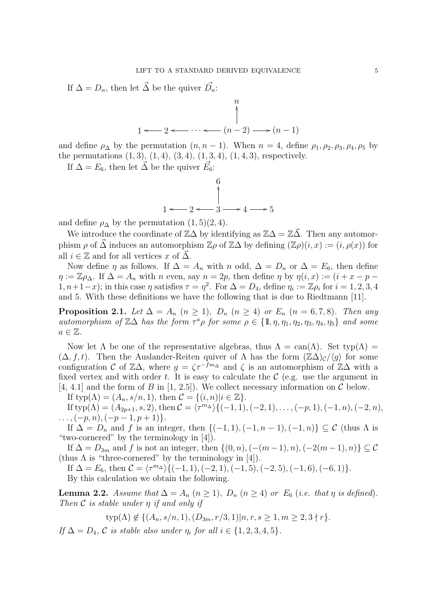If  $\Delta = D_n$ , then let  $\vec{\Delta}$  be the quiver  $\vec{D}_n$ :



and define  $\rho_{\Delta}$  by the permutation  $(n, n - 1)$ . When  $n = 4$ , define  $\rho_1, \rho_2, \rho_3, \rho_4, \rho_5$  by the permutations  $(1, 3)$ ,  $(1, 4)$ ,  $(3, 4)$ ,  $(1, 3, 4)$ ,  $(1, 4, 3)$ , respectively.

If  $\Delta = E_6$ , then let  $\vec{\Delta}$  be the quiver  $\vec{E_6}$ :

$$
\begin{array}{c}\n6 \\
0 \\
1 \leftarrow 2 \leftarrow 3 \rightarrow 4 \rightarrow 5\n\end{array}
$$

and define  $\rho_{\Delta}$  by the permutation  $(1, 5)(2, 4)$ .

We introduce the coordinate of  $\mathbb{Z}\Delta$  by identifying as  $\mathbb{Z}\Delta = \mathbb{Z}\Delta$ . Then any automorphism  $\rho$  of  $\vec{\Delta}$  induces an automorphism  $\mathbb{Z}\rho$  of  $\mathbb{Z}\Delta$  by defining  $(\mathbb{Z}\rho)(i, x) := (i, \rho(x))$  for all  $i \in \mathbb{Z}$  and for all vertices *x* of  $\Delta$ .

Now define  $\eta$  as follows. If  $\Delta = A_n$  with  $n$  odd,  $\Delta = D_n$  or  $\Delta = E_6$ , then define  $\eta := \mathbb{Z} \rho_{\Delta}$ . If  $\Delta = A_n$  with *n* even, say  $n = 2p$ , then define  $\eta$  by  $\eta(i, x) := (i + x - p - 1)$  $1, n+1-x$ ; in this case  $\eta$  satisfies  $\tau = \eta^2$ . For  $\Delta = D_4$ , define  $\eta_i := \mathbb{Z}\rho_i$  for  $i = 1, 2, 3, 4$ and 5. With these definitions we have the following that is due to Riedtmann [11].

**Proposition 2.1.** *Let*  $\Delta = A_n$  ( $n \geq 1$ )*,*  $D_n$  ( $n \geq 4$ ) *or*  $E_n$  ( $n = 6, 7, 8$ )*. Then any automorphism of*  $\mathbb{Z}\Delta$  *has the form*  $\tau^a \rho$  *for some*  $\rho \in \{1, \eta, \eta_1, \eta_2, \eta_3, \eta_4, \eta_5\}$  *and some*  $a \in \mathbb{Z}$ .

Now let  $\Lambda$  be one of the representative algebras, thus  $\Lambda = \text{can}(\Lambda)$ . Set typ $(\Lambda) =$  $(\Delta, f, t)$ . Then the Auslander-Reiten quiver of  $\Lambda$  has the form  $(\mathbb{Z}\Delta)_c/\langle g \rangle$  for some configuration *C* of  $\mathbb{Z}\Delta$ , where  $g = \zeta \tau^{-fm\Delta}$  and  $\zeta$  is an automorphism of  $\mathbb{Z}\Delta$  with a fixed vertex and with order  $t$ . It is easy to calculate the  $\mathcal C$  (e.g. use the argument in  $[4, 4.1]$  and the form of *B* in  $[1, 2.5]$ . We collect necessary information on *C* below.

If  $\textrm{typ}(\Lambda) = (A_n, s/n, 1)$ , then  $\mathcal{C} = \{(i, n)|i \in \mathbb{Z}\}.$ 

If typ( $\Lambda$ ) =  $(A_{2p+1}, s, 2)$ , then  $\mathcal{C} = \langle \tau^{m} \Delta \rangle \{(-1, 1), (-2, 1), \ldots, (-p, 1), (-1, n), (-2, n), \ldots, (-p, 1)\}$ *. . . ,*(*−p, n*)*,*(*−p −* 1*, p* + 1)*}*.

If  $\Delta = D_n$  and *f* is an integer, then  $\{(-1, 1), (-1, n-1), (-1, n)\} \subseteq \mathcal{C}$  (thus  $\Lambda$  is "two-cornered" by the terminology in [4]).

If  $\Delta = D_{3m}$  and *f* is not an integer, then  $\{(0, n), (-(m-1), n), (-2(m-1), n)\} \subseteq \mathcal{C}$ (thus  $\Lambda$  is "three-cornered" by the terminology in [4]).

If  $\Delta = E_6$ , then  $\mathcal{C} = \langle \tau^{m_{\Delta}} \rangle \{ (-1, 1), (-2, 1), (-1, 5), (-2, 5), (-1, 6), (-6, 1) \}.$ 

By this calculation we obtain the following.

**Lemma 2.2.** *Assume that*  $\Delta = A_n$  ( $n \geq 1$ )*,*  $D_n$  ( $n \geq 4$ ) *or*  $E_6$  (*i.e. that*  $\eta$  *is defined*). *Then C is stable under η if and only if*

 $\textrm{typ}(\Lambda) \notin \{(A_n, s/n, 1), (D_{3m}, r/3, 1)|n, r, s \geq 1, m \geq 2, 3 \nmid r\}.$ 

 $If \Delta = D_4$ ,  $C$  *is stable also under*  $\eta_i$  *for all*  $i \in \{1, 2, 3, 4, 5\}$ *.*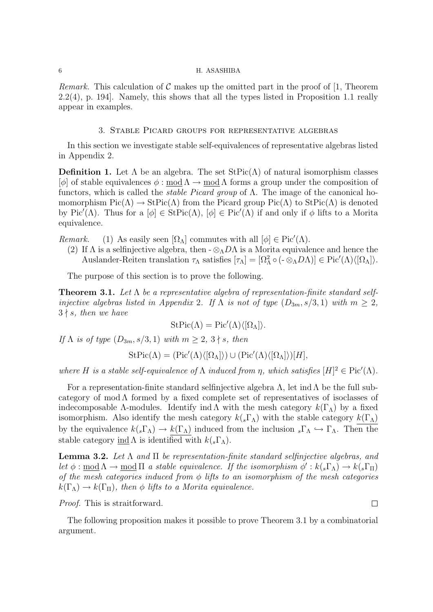*Remark.* This calculation of  $\mathcal C$  makes up the omitted part in the proof of [1, Theorem 2.2(4), p. 194]. Namely, this shows that all the types listed in Proposition 1.1 really appear in examples.

## 3. Stable Picard groups for representative algebras

In this section we investigate stable self-equivalences of representative algebras listed in Appendix 2.

**Definition 1.** Let  $\Lambda$  be an algebra. The set  $\text{StPic}(\Lambda)$  of natural isomorphism classes [*φ*] of stable equivalences *φ* : modΛ *→* modΛ forms a group under the composition of functors, which is called the *stable Picard group* of Λ. The image of the canonical homomorphism  $Pic(\Lambda) \to StPic(\Lambda)$  from the Picard group  $Pic(\Lambda)$  to  $StPic(\Lambda)$  is denoted by Pic<sup>'</sup>( $\Lambda$ ). Thus for a  $[\phi] \in \text{StPic}(\Lambda)$ ,  $[\phi] \in \text{Pic}'(\Lambda)$  if and only if  $\phi$  lifts to a Morita equivalence.

*Remark.* (1) As easily seen  $[\Omega_{\Lambda}]$  commutes with all  $[\phi] \in Pic'(\Lambda)$ .

(2) If  $\Lambda$  is a selfinjective algebra, then  $-\otimes_{\Lambda} D\Lambda$  is a Morita equivalence and hence the Auslander-Reiten translation  $\tau_{\Lambda}$  satisfies  $[\tau_{\Lambda}] = [\Omega_{\Lambda}^2 \circ (-\otimes_{\Lambda} D\Lambda)] \in Pic'(\Lambda)\langle [\Omega_{\Lambda}] \rangle$ .

The purpose of this section is to prove the following.

**Theorem 3.1.** *Let* Λ *be a representative algebra of representation-finite standard selfinjective algebras listed in Appendix* 2*.* If  $\Lambda$  *is not of type*  $(D_{3m}, s/3, 1)$  *with*  $m \geq 2$ *,*  $3 \nmid s$ *, then we have* 

$$
\mathrm{StPic}(\Lambda) = \mathrm{Pic}'(\Lambda)\langle [\Omega_{\Lambda}]\rangle.
$$

*If*  $\Lambda$  *is of type*  $(D_{3m}, s/3, 1)$  *with*  $m \geq 2, 3 \nmid s$ *, then* 

$$
\mathrm{StPic}(\Lambda) = (\mathrm{Pic}'(\Lambda)\langle [\Omega_{\Lambda}]\rangle) \cup (\mathrm{Pic}'(\Lambda)\langle [\Omega_{\Lambda}]\rangle)[H],
$$

*where H is a stable self-equivalence of*  $\Lambda$  *induced from*  $\eta$ *, which satisfies*  $[H]^2 \in Pic'(\Lambda)$ *.* 

For a representation-finite standard selfiniective algebra  $\Lambda$ , let ind  $\Lambda$  be the full subcategory of mod  $\Lambda$  formed by a fixed complete set of representatives of isoclasses of indecomposable  $\Lambda$ -modules. Identify ind  $\Lambda$  with the mesh category  $k(\Gamma_{\Lambda})$  by a fixed isomorphism. Also identify the mesh category  $k(_s\Gamma_A)$  with the stable category  $k(\Gamma_A)$ by the equivalence  $k(s\Gamma_A) \to k(\Gamma_A)$  induced from the inclusion  $s\Gamma_A \hookrightarrow \Gamma_A$ . Then the stable category <u>ind</u>  $\Lambda$  is identified with  $k(_s\Gamma_\Lambda)$ .

**Lemma 3.2.** *Let* Λ *and* Π *be representation-finite standard selfinjective algebras, and let*  $\phi : \text{mod } \Lambda \to \text{mod } \Pi$  *a stable equivalence. If the isomorphism*  $\phi' : k(_s\Gamma_{\Lambda}) \to k(_s\Gamma_{\Pi})$ *of the mesh categories induced from φ lifts to an isomorphism of the mesh categories*  $k(\Gamma_{\Lambda}) \rightarrow k(\Gamma_{\Pi})$ , then  $\phi$  lifts to a Morita equivalence.

*Proof.* This is straitforward.

The following proposition makes it possible to prove Theorem 3.1 by a combinatorial argument.

 $\Box$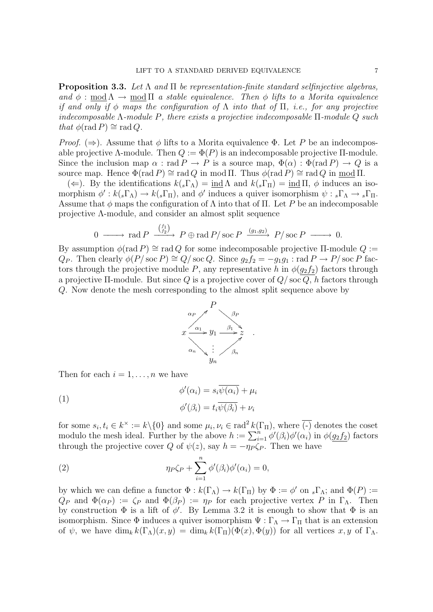**Proposition 3.3.** *Let* Λ *and* Π *be representation-finite standard selfinjective algebras, and*  $\phi$  : mod  $\Lambda \rightarrow$  mod  $\Pi$  *a stable equivalence. Then*  $\phi$  *lifts to a Morita equivalence if and only if φ maps the configuration of* Λ *into that of* Π*, i.e., for any projective indecomposable* Λ*-module P, there exists a projective indecomposable* Π*-module Q such that*  $\phi$ (rad *P*)  $\cong$  rad *Q.* 

*Proof.* ( $\Rightarrow$ ). Assume that  $\phi$  lifts to a Morita equivalence  $\Phi$ . Let P be an indecomposable projective  $\Lambda$ -module. Then  $Q := \Phi(P)$  is an indecomposable projective  $\Pi$ -module. Since the inclusion map  $\alpha$ : rad  $P \to P$  is a source map,  $\Phi(\alpha) : \Phi(\text{rad } P) \to Q$  is a source map. Hence  $\Phi(\text{rad } P) \cong \text{rad } Q$  in mod  $\Pi$ . Thus  $\phi(\text{rad } P) \cong \text{rad } Q$  in mod  $\Pi$ .

(←). By the identifications  $k(s\Gamma_{\Lambda}) = \text{ind } \Lambda$  and  $k(s\Gamma_{\Pi}) = \text{ind } \Pi$ , φ induces an isomorphism  $\phi': k(_s\Gamma_{\Lambda}) \to k(_s\Gamma_{\Pi})$ , and  $\phi'$  induces a quiver isomorphism  $\psi: {}_s\Gamma_{\Lambda} \to {}_s\Gamma_{\Pi}$ . Assume that  $\phi$  maps the configuration of  $\Lambda$  into that of  $\Pi$ . Let *P* be an indecomposable projective Λ-module, and consider an almost split sequence

$$
0 \longrightarrow \text{rad } P \xrightarrow{\binom{f_1}{f_2}} P \oplus \text{rad } P / \text{soc } P \xrightarrow{(g_1, g_2)} P / \text{soc } P \longrightarrow 0.
$$

By assumption  $\phi(\text{rad } P) \cong \text{rad } Q$  for some indecomposable projective  $\Pi$ -module  $Q :=$ *Q*<sub>*P*</sub>. Then clearly  $\phi(P/\operatorname{soc} P) \cong Q/\operatorname{soc} Q$ . Since  $g_2 f_2 = -g_1 g_1$  : rad  $P \to P/\operatorname{soc} P$  factors through the projective module *P*, any representative *h* in  $\phi(g_2 f_2)$  factors through a projective Π-module. But since *Q* is a projective cover of *Q/* soc *Q*, *h* factors through *Q*. Now denote the mesh corresponding to the almost split sequence above by



Then for each  $i = 1, \ldots, n$  we have

(1)  
\n
$$
\phi'(\alpha_i) = s_i \overline{\psi(\alpha_i)} + \mu_i
$$
\n
$$
\phi'(\beta_i) = t_i \overline{\psi(\beta_i)} + \nu_i
$$

for some  $s_i, t_i \in k^\times := k \setminus \{0\}$  and some  $\mu_i, \nu_i \in \text{rad}^2 k(\Gamma_{\Pi})$ , where  $\overline{(-)}$  denotes the coset modulo the mesh ideal. Further by the above  $h := \sum_{i=1}^{n} \phi'(\beta_i) \phi'(\alpha_i)$  in  $\phi(g_2 f_2)$  factors through the projective cover *Q* of  $\psi(z)$ , say  $h = -\eta_P \zeta_P$ . Then we have

(2) 
$$
\eta_P \zeta_P + \sum_{i=1}^n \phi'(\beta_i) \phi'(\alpha_i) = 0,
$$

by which we can define a functor  $\Phi : k(\Gamma_{\Lambda}) \to k(\Gamma_{\Pi})$  by  $\Phi := \phi'$  on  $_s \Gamma_{\Lambda}$ ; and  $\Phi(P) :=$  $Q_P$  and  $\Phi(\alpha_P) := \zeta_P$  and  $\Phi(\beta_P) := \eta_P$  for each projective vertex *P* in Γ<sub>Λ</sub>. Then by construction  $\Phi$  is a lift of  $\phi'$ . By Lemma 3.2 it is enough to show that  $\Phi$  is an isomorphism. Since  $\Phi$  induces a quiver isomorphism  $\Psi : \Gamma_{\Lambda} \to \Gamma_{\Pi}$  that is an extension of  $\psi$ , we have  $\dim_k k(\Gamma_\Lambda)(x, y) = \dim_k k(\Gamma_\Pi)(\Phi(x), \Phi(y))$  for all vertices  $x, y$  of  $\Gamma_\Lambda$ .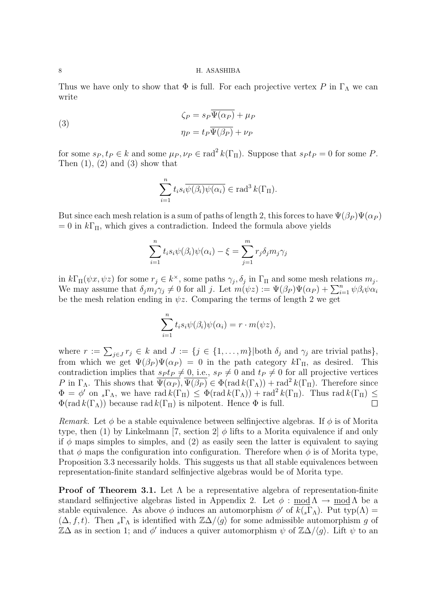Thus we have only to show that  $\Phi$  is full. For each projective vertex *P* in  $\Gamma_{\Lambda}$  we can write

(3)  
\n
$$
\zeta_P = s_P \overline{\Psi(\alpha_P)} + \mu_P
$$
\n
$$
\eta_P = t_P \overline{\Psi(\beta_P)} + \nu_P
$$

for some  $s_P, t_P \in k$  and some  $\mu_P, \nu_P \in \text{rad}^2 k(\Gamma_H)$ . Suppose that  $s_P t_P = 0$  for some *P*. Then  $(1)$ ,  $(2)$  and  $(3)$  show that

$$
\sum_{i=1}^{n} t_i s_i \overline{\psi(\beta_i)\psi(\alpha_i)} \in \text{rad}^3 k(\Gamma_{\Pi}).
$$

But since each mesh relation is a sum of paths of length 2, this forces to have  $\Psi(\beta_P)\Psi(\alpha_P)$  $= 0$  in  $k\Gamma$ <sub>Π</sub>, which gives a contradiction. Indeed the formula above yields

$$
\sum_{i=1}^{n} t_i s_i \psi(\beta_i) \psi(\alpha_i) - \xi = \sum_{j=1}^{m} r_j \delta_j m_j \gamma_j
$$

in  $k\Gamma_{\Pi}(\psi x, \psi z)$  for some  $r_j \in k^{\times}$ , some paths  $\gamma_j$ ,  $\delta_j$  in  $\Gamma_{\Pi}$  and some mesh relations  $m_j$ . We may assume that  $\delta_j m_j \gamma_j \neq 0$  for all *j*. Let  $m(\psi z) := \Psi(\beta_P) \Psi(\alpha_P) + \sum_{i=1}^n \psi \beta_i \psi \alpha_i$ be the mesh relation ending in  $\psi z$ . Comparing the terms of length 2 we get

$$
\sum_{i=1}^n t_i s_i \psi(\beta_i) \psi(\alpha_i) = r \cdot m(\psi z),
$$

where  $r := \sum_{j \in J} r_j \in k$  and  $J := \{j \in \{1, \ldots, m\} | \text{both } \delta_j \text{ and } \gamma_j \text{ are trivial paths}\},$ from which we get  $\Psi(\beta_P)\Psi(\alpha_P) = 0$  in the path category  $k\Gamma_{\Pi}$ , as desired. This contradiction implies that  $s_P t_P \neq 0$ , i.e.,  $s_P \neq 0$  and  $t_P \neq 0$  for all projective vertices *P* in  $\Gamma_{\Lambda}$ . This shows that  $\overline{\Psi(\alpha_P)}$ ,  $\overline{\Psi(\beta_P)} \in \Phi(\text{rad } k(\Gamma_{\Lambda})) + \text{rad}^2 k(\Gamma_{\Pi})$ . Therefore since  $\Phi = \phi'$  on  $_s\Gamma_\Lambda$ , we have rad  $k(\Gamma_\Pi) \leq \Phi(\text{rad } k(\Gamma_\Lambda)) + \text{rad}^2 k(\Gamma_\Pi)$ . Thus rad  $k(\Gamma_\Pi) \leq$  $\Phi(\text{rad } k(\Gamma_{\Lambda}))$  because rad  $k(\Gamma_{\Pi})$  is nilpotent. Hence  $\Phi$  is full.

*Remark.* Let  $\phi$  be a stable equivalence between selfinjective algebras. If  $\phi$  is of Morita type, then (1) by Linkelmann [7, section 2]  $\phi$  lifts to a Morita equivalence if and only if  $\phi$  maps simples to simples, and (2) as easily seen the latter is equivalent to saying that  $\phi$  maps the configuration into configuration. Therefore when  $\phi$  is of Morita type, Proposition 3.3 necessarily holds. This suggests us that all stable equivalences between representation-finite standard selfinjective algebras would be of Morita type.

**Proof of Theorem 3.1.** Let  $\Lambda$  be a representative algebra of representation-finite standard selfinjective algebras listed in Appendix 2. Let  $\phi : \text{mod } \Lambda \to \text{mod } \Lambda$  be a stable equivalence. As above  $\phi$  induces an automorphism  $\phi'$  of  $k(s\Gamma_\Lambda)$ . Put typ( $\Lambda$ ) =  $(\Delta, f, t)$ . Then  $_s\Gamma_{\Lambda}$  is identified with  $\mathbb{Z}\Delta/\langle g \rangle$  for some admissible automorphism g of  $\mathbb{Z}\Delta$  as in section 1; and  $\phi'$  induces a quiver automorphism  $\psi$  of  $\mathbb{Z}\Delta/\langle g \rangle$ . Lift  $\psi$  to an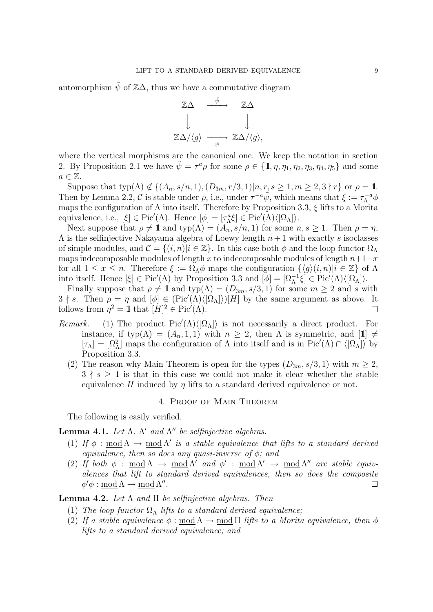automorphism  $\tilde{\psi}$  of  $\mathbb{Z}\Delta$ , thus we have a commutative diagram



where the vertical morphisms are the canonical one. We keep the notation in section 2. By Proposition 2.1 we have  $\tilde{\psi} = \tau^a \rho$  for some  $\rho \in \{1, \eta, \eta_1, \eta_2, \eta_3, \eta_4, \eta_5\}$  and some  $a \in \mathbb{Z}$ .

Suppose that  $\text{typ}(\Lambda) \notin \{(A_n, s/n, 1), (D_{3m}, r/3, 1)|n, r, s \geq 1, m \geq 2, 3 \nmid r\}$  or  $\rho = \mathbb{1}$ . Then by Lemma 2.2,  $\mathcal{C}$  is stable under  $\rho$ , i.e., under  $\tau^{-a}\tilde{\psi}$ , which means that  $\xi := \tau_{\Lambda}^{-a}\phi$ maps the configuration of Λ into itself. Therefore by Proposition 3.3, *ξ* lifts to a Morita equivalence, i.e.,  $[\xi] \in Pic'(\Lambda)$ . Hence  $[\phi] = [\tau_{\Lambda}^a \xi] \in Pic'(\Lambda) \langle [\Omega_{\Lambda}] \rangle$ .

Next suppose that  $\rho \neq 1$  and typ( $\Lambda$ ) = ( $A_n$ ,  $s/n$ , 1) for some  $n, s \geq 1$ . Then  $\rho = \eta$ , Λ is the selfinjective Nakayama algebra of Loewy length *n* + 1 with exactly *s* isoclasses of simple modules, and  $\mathcal{C} = \{(i, n)|i \in \mathbb{Z}\}\$ . In this case both  $\phi$  and the loop functor  $\Omega_{\Lambda}$ maps indecomposable modules of length *x* to indecomposable modules of length  $n+1-x$ for all  $1 \leq x \leq n$ . Therefore  $\xi := \Omega_{\Lambda} \phi$  maps the configuration  $\{\langle g \rangle(i,n) | i \in \mathbb{Z}\}\$  of  $\Lambda$ into itself. Hence  $[\xi] \in Pic'(\Lambda)$  by Proposition 3.3 and  $[\phi] = [\Omega_{\Lambda}^{-1}\xi] \in Pic'(\Lambda)\langle [\Omega_{\Lambda}]\rangle$ .

Finally suppose that  $\rho \neq 1$  and  $\text{typ}(\Lambda) = (D_{3m}, s/3, 1)$  for some  $m \geq 2$  and *s* with  $3 \nmid s$ . Then  $\rho = \eta$  and  $[\phi] \in (Pic'(\Lambda)\langle [\Omega_{\Lambda}])[H]$  by the same argument as above. It follows from  $\eta^2 = \mathbb{1}$  that  $[H]^2 \in Pic'(\Lambda)$ .  $\Box$ 

- *Remark.* (1) The product Pic $\langle \Lambda \rangle \langle [\Omega_{\Lambda}] \rangle$  is not necessarily a direct product. For instance, if typ( $\Lambda$ ) =  $(A_n, 1, 1)$  with  $n \geq 2$ , then  $\Lambda$  is symmetric, and [1]  $\neq$  $[\tau_{\Lambda}] = [\Omega_{\Lambda}^2]$  maps the configuration of  $\Lambda$  into itself and is in Pic<sup>'</sup>( $\Lambda$ )  $\cap$   $\langle [\Omega_{\Lambda}] \rangle$  by Proposition 3.3.
	- (2) The reason why Main Theorem is open for the types  $(D_{3m}, s/3, 1)$  with  $m \geq 2$ ,  $3 \nmid s \geq 1$  is that in this case we could not make it clear whether the stable equivalence *H* induced by  $\eta$  lifts to a standard derived equivalence or not.

### 4. Proof of Main Theorem

The following is easily verified.

**Lemma 4.1.** *Let*  $\Lambda$ ,  $\Lambda'$  *and*  $\Lambda''$  *be selfinjective algebras.* 

- (1) If  $\phi$  :  $\underline{\text{mod}} \Lambda \to \underline{\text{mod}} \Lambda'$  is a stable equivalence that lifts to a standard derived *equivalence, then so does any quasi-inverse of φ; and*
- (2) If both  $\phi$  : <u>mod</u>  $\Lambda \rightarrow \text{mod } \Lambda'$  and  $\phi'$  : <u>mod</u>  $\Lambda' \rightarrow \text{mod } \Lambda''$  are stable equiv*alences that lift to standard derived equivalences, then so does the composite*  $\phi' \phi : \underline{\text{mod}} \Lambda \to \underline{\text{mod}} \Lambda''$ .  $\Box$

**Lemma 4.2.** *Let* Λ *and* Π *be selfinjective algebras. Then*

- (1) *The loop functor*  $\Omega_{\Lambda}$  *lifts to a standard derived equivalence;*
- (2) If a stable equivalence  $\phi$  : mod  $\Lambda \rightarrow$  mod  $\Pi$  lifts to a Morita equivalence, then  $\phi$ *lifts to a standard derived equivalence; and*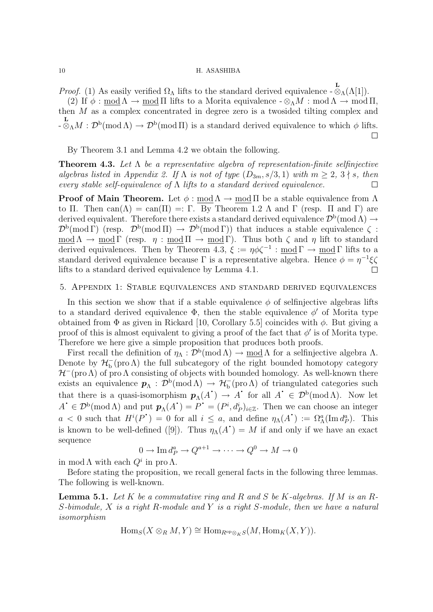*Proof.* (1) As easily verified  $\Omega_{\Lambda}$  lifts to the standard derived equivalence  $-\infty_{\Lambda}$  ( $\Lambda$ [1]). (2) If  $\phi : \text{mod }\Lambda \to \text{mod }\Pi$  lifts to a Morita equivalence  $-\otimes_{\Lambda} M : \text{mod }\Lambda \to \text{mod }\Pi$ , then *M* as a complex concentrated in degree zero is a twosided tilting complex and  $-\frac{L}{\otimes_{\Lambda}}M:\mathcal{D}^{\rm b}(\text{mod }\Lambda)\to\mathcal{D}^{\rm b}(\text{mod }\Pi)$  is a standard derived equivalence to which  $\phi$  lifts.  $\Box$ 

By Theorem 3.1 and Lemma 4.2 we obtain the following.

**Theorem 4.3.** *Let* Λ *be a representative algebra of representation-finite selfinjective algebras listed in Appendix 2. If*  $\Lambda$  *is not of type*  $(D_{3m}, s/3, 1)$  *with*  $m \geq 2, 3 \nmid s$ *, then every stable self-equivalence of* Λ *lifts to a standard derived equivalence.*  $\Box$ 

**Proof of Main Theorem.** Let  $\phi$ : mod  $\Lambda \rightarrow$  mod  $\Pi$  be a stable equivalence from  $\Lambda$ to Π. Then can( $\Lambda$ ) = can( $\Pi$ ) =: Γ. By Theorem 1.2  $\Lambda$  and Γ (resp. Π and Γ) are derived equivalent. Therefore there exists a standard derived equivalence  $\mathcal{D}^{b}(\text{mod }\Lambda) \rightarrow$  $\mathcal{D}^{\rm b}(\text{mod } \Gamma)$  (resp.  $\mathcal{D}^{\rm b}(\text{mod } \Pi) \to \mathcal{D}^{\rm b}(\text{mod } \Gamma)$ ) that induces a stable equivalence  $\zeta$ : mod  $\Lambda \to \text{mod } \Gamma$  (resp.  $\eta : \text{mod } \Pi \to \text{mod } \Gamma$ ). Thus both  $\zeta$  and  $\eta$  lift to standard derived equivalences. Then by Theorem 4.3, *ξ* := *ηφζ−*<sup>1</sup> : mod Γ *→* mod Γ lifts to a standard derived equivalence because  $\Gamma$  is a representative algebra. Hence  $\phi = \eta^{-1}\xi\zeta$ lifts to a standard derived equivalence by Lemma 4.1.  $\Box$ 

#### 5. Appendix 1: Stable equivalences and standard derived equivalences

In this section we show that if a stable equivalence  $\phi$  of selfinjective algebras lifts to a standard derived equivalence  $\Phi$ , then the stable equivalence  $\phi'$  of Morita type obtained from Φ as given in Rickard [10, Corollary 5.5] coincides with *φ*. But giving a proof of this is almost equivalent to giving a proof of the fact that  $\phi'$  is of Morita type. Therefore we here give a simple proposition that produces both proofs.

First recall the definition of  $\eta_\Lambda : \mathcal{D}^b(\text{mod }\Lambda) \to \text{mod }\Lambda$  for a selfinjective algebra  $\Lambda$ . Denote by  $\mathcal{H}^-_b$  (pro  $\Lambda$ ) the full subcategory of the right bounded homotopy category *H*<sup>−</sup>(pro Λ) of pro Λ consisting of objects with bounded homology. As well-known there exists an equivalence  $p_\Lambda : \mathcal{D}^b(\text{mod }\Lambda) \to \mathcal{H}^-_b(\text{pro }\Lambda)$  of triangulated categories such that there is a quasi-isomorphism  $p_{\Lambda}(A^{\dagger}) \to A^{\dagger}$  for all  $A^{\dagger} \in \mathcal{D}^{\{b\}}(\text{mod }\Lambda)$ . Now let  $A^{\bullet} \in \mathcal{D}^{\mathbf{b}}(\text{mod }\Lambda)$  and put  $\mathbf{p}_{\Lambda}(A^{\bullet}) = P^{\bullet} = (P^i, d_P^i)_{i \in \mathbb{Z}}$ . Then we can choose an integer *a* < 0 such that  $H^i(P^{\bullet}) = 0$  for all  $i \leq a$ , and define  $\eta_{\Lambda}(A^{\bullet}) := \Omega_{\Lambda}^a(\text{Im } d_p^a)$ . This is known to be well-defined ([9]). Thus  $\eta_{\Lambda}(A^{\bullet}) = M$  if and only if we have an exact sequence

$$
0 \to \operatorname{Im} d_P^a \to Q^{a+1} \to \cdots \to Q^0 \to M \to 0
$$

in mod  $\Lambda$  with each  $Q^i$  in pro  $\Lambda$ .

Before stating the proposition, we recall general facts in the following three lemmas. The following is well-known.

**Lemma 5.1.** *Let K be a commutative ring and R and S be K-algebras. If M is an R-S-bimodule, X is a right R-module and Y is a right S-module, then we have a natural isomorphism*

$$
\mathrm{Hom}_S(X\otimes_R M, Y)\cong \mathrm{Hom}_{R^{\mathrm{op}}\otimes_K S}(M, \mathrm{Hom}_K(X, Y)).
$$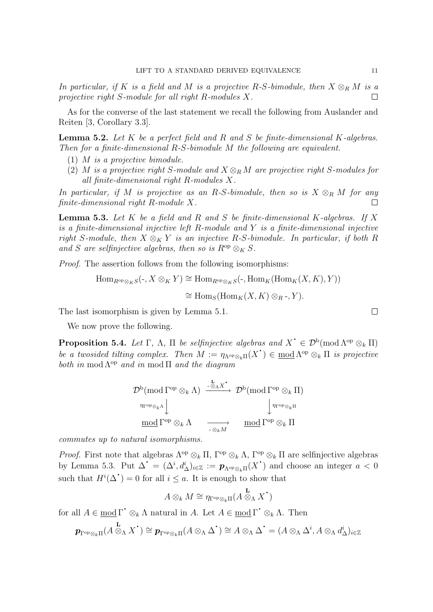*In particular, if*  $K$  *is a field and*  $M$  *is a projective*  $R$ *-S-bimodule, then*  $X \otimes_R M$  *is a projective right S-module for all right R-modules X.*  $\perp$ 

As for the converse of the last statement we recall the following from Auslander and Reiten [3, Corollary 3.3].

**Lemma 5.2.** *Let K be a perfect field and R and S be finite-dimensional K-algebras. Then for a finite-dimensional R-S-bimodule M the following are equivalent.*

- (1) *M is a projective bimodule.*
- (2) *M is a projective right S-module and*  $X \otimes_R M$  *are projective right S-modules for all finite-dimensional right R-modules X.*

*In particular, if M is projective as an R-S-bimodule, then so is*  $X \otimes_R M$  *for any finite-dimensional right R-module X.*  $\Box$ 

**Lemma 5.3.** *Let K be a field and R and S be finite-dimensional K-algebras. If X is a finite-dimensional injective left R-module and Y is a finite-dimensional injective right S*-module, then  $X \otimes_K Y$  *is an injective R-S*-bimodule. In particular, if both *R* and *S* are selfinjective algebras, then so is  $R^{op} \otimes_K S$ .

*Proof.* The assertion follows from the following isomorphisms:

Hom<sub>$$
R^{op} \otimes_K S(\cdot, X \otimes_K Y) \cong \text{Hom}_{R^{op} \otimes_K S}(\cdot, \text{Hom}_K(\text{Hom}_K(X, K), Y))
$$
  
 $\cong \text{Hom}_S(\text{Hom}_K(X, K) \otimes_R \cdot, Y).$</sub> 

The last isomorphism is given by Lemma 5.1.

We now prove the following.

**Proposition 5.4.** *Let*  $\Gamma$ ,  $\Lambda$ ,  $\Pi$  *be selfinjective algebras and*  $X^{\text{*}} \in \mathcal{D}^{\text{b}}(\text{mod }\Lambda^{\text{op}} \otimes_k \Pi)$ *be a twosided tilting complex. Then*  $M := \eta_{\Lambda^{op} \otimes_k \Pi}(X^{\bullet}) \in \underline{\text{mod }} \Lambda^{op} \otimes_k \Pi$  *is projective both in* mod  $\Lambda^{op}$  *and in* mod  $\Pi$  *and the diagram* 

$$
\mathcal{D}^{\mathrm{b}}(\mathrm{mod}\,\Gamma^{\mathrm{op}}\otimes_{k}\Lambda)\xrightarrow{\mathbb{I}_{\mathrm{c}}\otimes_{\Lambda}X^{\bullet}}\mathcal{D}^{\mathrm{b}}(\mathrm{mod}\,\Gamma^{\mathrm{op}}\otimes_{k}\Pi)
$$
\n
$$
\eta_{\Gamma^{\mathrm{op}}\otimes_{k}\Lambda}\downarrow\qquad\qquad\downarrow\eta_{\Gamma^{\mathrm{op}}\otimes_{k}\Pi}
$$
\n
$$
\underline{\mathrm{mod}}\,\Gamma^{\mathrm{op}}\otimes_{k}\Lambda\qquad\underset{\mathbb{I}_{\mathrm{c}}\otimes_{k}\Pi}{\longrightarrow}\qquad\underline{\mathrm{mod}}\,\Gamma^{\mathrm{op}}\otimes_{k}\Pi
$$

*commutes up to natural isomorphisms.*

*Proof.* First note that algebras  $\Lambda^{\text{op}} \otimes_k \Pi$ ,  $\Gamma^{\text{op}} \otimes_k \Lambda$ ,  $\Gamma^{\text{op}} \otimes_k \Pi$  are selfinjective algebras by Lemma 5.3. Put  $\Delta^{\bullet} = (\Delta^i, d^i_{\Delta})_{i \in \mathbb{Z}} := \mathbf{p}_{\Lambda^{\rm op} \otimes_k \Pi}(X^{\bullet})$  and choose an integer  $a < 0$ such that  $H^i(\Delta^{\bullet}) = 0$  for all  $i \leq a$ . It is enough to show that

$$
A\otimes_k M \cong \eta_{\Gamma^{\mathrm{op}} \otimes_k \Pi} (A\overset{\mathbf{L}}{\otimes}_{\Lambda} X^{\textstyle{\cdot}})
$$

for all  $A \in \text{mod } \Gamma^{\bullet} \otimes_k \Lambda$  natural in  $A$ . Let  $A \in \text{mod } \Gamma^{\bullet} \otimes_k \Lambda$ . Then

$$
\boldsymbol{p}_{\Gamma^{\rm op}\otimes_k\Pi}(A\overset{\mathbf{L}}\otimes_\Lambda X^\text{-})\cong\boldsymbol{p}_{\Gamma^{\rm op}\otimes_k\Pi}(A\otimes_\Lambda\Delta^\text{-})\cong A\otimes_\Lambda\Delta^\text{-}=(A\otimes_\Lambda\Delta^i,A\otimes_\Lambda d_\Delta^i)_{i\in\mathbb{Z}}
$$

$$
\qquad \qquad \Box
$$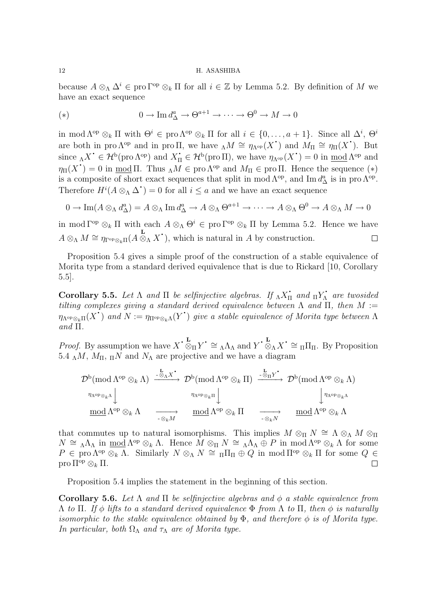because  $A \otimes_{\Lambda} \Delta^{i} \in \text{pro}\,\Gamma^{\text{op}} \otimes_{k} \Pi$  for all  $i \in \mathbb{Z}$  by Lemma 5.2. By definition of *M* we have an exact sequence

(\*) 
$$
0 \to \operatorname{Im} d_{\Delta}^a \to \Theta^{a+1} \to \cdots \to \Theta^0 \to M \to 0
$$

in mod  $\Lambda^{op} \otimes_k \Pi$  with  $\Theta^i \in \text{pro } \Lambda^{op} \otimes_k \Pi$  for all  $i \in \{0, \ldots, a+1\}$ . Since all  $\Delta^i$ ,  $\Theta^i$ are both in pro  $\Lambda^{op}$  and in pro  $\Pi$ , we have  $\Lambda M \cong \eta_{\Lambda^{op}}(X^{\bullet})$  and  $M_{\Pi} \cong \eta_{\Pi}(X^{\bullet})$ . But since  $\Lambda X^{\bullet} \in \mathcal{H}^{\mathsf{b}}(\text{pro }\Lambda^{\text{op}})$  and  $X_{\Pi}^{\bullet} \in \mathcal{H}^{\mathsf{b}}(\text{pro }\Pi)$ , we have  $\eta_{\Lambda^{\text{op}}}(X^{\bullet}) = 0$  in <u>mod</u>  $\Lambda^{\text{op}}$  and  $\eta_{\Pi}(X^*) = 0$  in <u>mod</u> Π. Thus  $\Lambda M \in \text{pro }\Lambda^{\text{op}}$  and  $M_{\Pi} \in \text{pro }\Pi$ . Hence the sequence (\*) is a composite of short exact sequences that split in mod  $\Lambda^{\text{op}}$ , and Im  $d^a_{\Delta}$  is in pro  $\Lambda^{\text{op}}$ . Therefore  $H^i(A \otimes_{\Lambda} \Delta^{\bullet}) = 0$  for all  $i \leq a$  and we have an exact sequence

$$
0 \to \operatorname{Im}(A \otimes_{\Lambda} d_{\Delta}^{a}) = A \otimes_{\Lambda} \operatorname{Im} d_{\Delta}^{a} \to A \otimes_{\Lambda} \Theta^{a+1} \to \cdots \to A \otimes_{\Lambda} \Theta^{0} \to A \otimes_{\Lambda} M \to 0
$$

in mod  $\Gamma^{\text{op}} \otimes_k \Pi$  with each  $A \otimes_A \Theta^i \in \text{pro } \Gamma^{\text{op}} \otimes_k \Pi$  by Lemma 5.2. Hence we have  $A \otimes_{\Lambda} M \cong \eta_{\Gamma^{\text{op}} \otimes_k \Pi}(A \otimes_{\Lambda} X^{\bullet})$ , which is natural in *A* by construction.  $\Box$ 

Proposition 5.4 gives a simple proof of the construction of a stable equivalence of Morita type from a standard derived equivalence that is due to Rickard [10, Corollary 5.5].

**Corollary 5.5.** *Let*  $\Lambda$  *and*  $\Pi$  *be selfinjective algebras. If*  $_{\Lambda} X_{\Pi}^{\star}$  *and*  $_{\Pi} Y_{\Lambda}^{\star}$  *are twosided tilting complexes giving a standard derived equivalence between* Λ *and* Π*, then M* :=  $η$ <sup>*Nop<sub>⊗<i>k*</sub>Π(*X*<sup>•</sup>) *and*  $N := η$ <sup>πop<sub>⊗*k*Λ</sub>(*Y*<sup>•</sup>) *give a stable equivalence of Morita type between* Λ</sup></sup> *and* Π*.*

*Proof.* By assumption we have  $X \cdot \mathcal{L}_{\text{M}} Y \cdot \cong {}_{\Lambda}\Lambda_{\Lambda}$  and  $Y \cdot \mathcal{L}_{\text{M}} X \cdot \cong {}_{\Pi}\Pi_{\Pi}$ . By Proposition 5.4  $\Lambda M$ ,  $M_{\Pi}$ ,  $\Lambda N$  and  $N_{\Lambda}$  are projective and we have a diagram

$$
\mathcal{D}^{\mathrm{b}}(\mathrm{mod}\,\Lambda^{\mathrm{op}}\otimes_{k}\Lambda)\xrightarrow{\mathbf{L}_{\mathrm{A}}X^{\bullet}}\mathcal{D}^{\mathrm{b}}(\mathrm{mod}\,\Lambda^{\mathrm{op}}\otimes_{k}\Pi)\xrightarrow{\mathbf{L}_{\mathrm{B}}Y^{\bullet}}\mathcal{D}^{\mathrm{b}}(\mathrm{mod}\,\Lambda^{\mathrm{op}}\otimes_{k}\Lambda)
$$
\n
$$
\underbrace{\eta_{\Lambda^{\mathrm{op}}\otimes_{k}\Lambda}}_{\mathrm{mod}\,\Lambda^{\mathrm{op}}\otimes_{k}\Lambda}\xrightarrow[\mathbb{Q}_{k}M]\qquad \qquad \text{mod}\,\Lambda^{\mathrm{op}}\otimes_{k}\Pi\qquad \xrightarrow[\mathbb{Q}_{k}N]}\xrightarrow{\mathbf{L}_{\mathrm{B}}Y^{\bullet}}\mathcal{D}^{\mathrm{b}}(\mathrm{mod}\,\Lambda^{\mathrm{op}}\otimes_{k}\Lambda)
$$

that commutes up to natural isomorphisms. This implies  $M \otimes_{\Pi} N \cong \Lambda \otimes_{\Lambda} M \otimes_{\Pi} N$  $N \cong \Lambda \Lambda_{\Lambda}$  in <u>mod</u>  $\Lambda^{\rm op} \otimes_k \Lambda$ . Hence  $M \otimes_{\Pi} N \cong \Lambda \Lambda_{\Lambda} \oplus P$  in mod  $\Lambda^{\rm op} \otimes_k \Lambda$  for some  $P \in \text{pro }\Lambda^{\text{op}} \otimes_k \Lambda$ . Similarly  $N \otimes_{\Lambda} N \cong \Pi \Pi_{\Pi} \oplus Q$  in mod  $\Pi^{\text{op}} \otimes_k \Pi$  for some  $Q \in$ pro Πop *⊗<sup>k</sup>* Π.  $\Box$ 

Proposition 5.4 implies the statement in the beginning of this section.

**Corollary 5.6.** *Let* Λ *and* Π *be selfinjective algebras and φ a stable equivalence from* Λ *to* Π*. If φ lifts to a standard derived equivalence* Φ *from* Λ *to* Π*, then φ is naturally isomorphic to the stable equivalence obtained by*  $\Phi$ *, and therefore*  $\phi$  *is of Morita type. In particular, both*  $\Omega_{\Lambda}$  *and*  $\tau_{\Lambda}$  *are of Morita type.*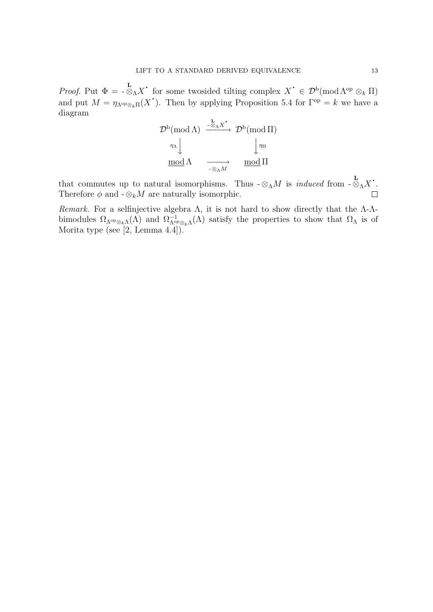*Proof.* Put  $\Phi = -\otimes_{\Lambda} X$ <sup>*·*</sup> for some twosided tilting complex  $X^{\bullet} \in \mathcal{D}^{\rm b}(\text{mod }\Lambda^{\rm op} \otimes_k \Pi)$ and put  $M = \eta_{\Lambda^{op} \otimes_k \Pi}(X^{\bullet})$ . Then by applying Proposition 5.4 for  $\Gamma^{op} = k$  we have a diagram

$$
\mathcal{D}^{\mathrm{b}}(\text{mod }\Lambda) \xrightarrow{-\otimes_{\Lambda}X^{\bullet}} \mathcal{D}^{\mathrm{b}}(\text{mod }\Pi)
$$
\n
$$
\begin{array}{c}\n\eta_{\Lambda} \downarrow \qquad \qquad \downarrow \eta_{\Pi} \\
\text{mod }\Lambda \qquad \xrightarrow{-\otimes_{\Lambda}M} \qquad \text{mod }\Pi\n\end{array}
$$

that commutes up to natural isomorphisms. Thus  $-\otimes_{\Lambda} M$  is *induced* from  $-\otimes_{\Lambda} X$ . Therefore  $\phi$  and  $-\otimes_k M$  are naturally isomorphic.  $\Box$ 

*Remark.* For a selfinjective algebra  $\Lambda$ , it is not hard to show directly that the  $\Lambda$ - $\Lambda$ bimodules  $\Omega_{\Lambda^{\rm op}\otimes_k\Lambda}(\Lambda)$  and  $\Omega_{\Lambda^{\rm op}\otimes_k\Lambda}^{-1}(\Lambda)$  satisfy the properties to show that  $\Omega_{\Lambda}$  is of Morita type (see [2, Lemma 4.4]).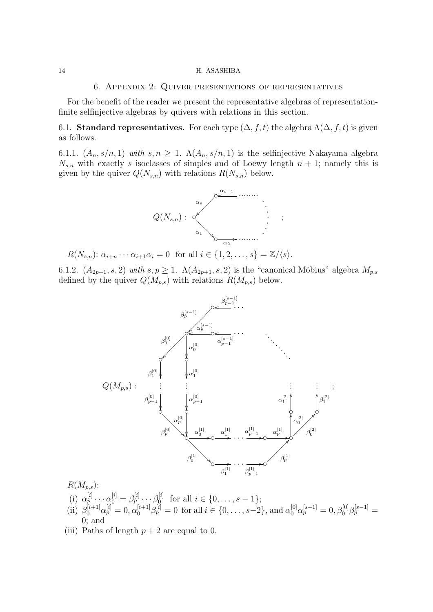#### 6. Appendix 2: Quiver presentations of representatives

For the benefit of the reader we present the representative algebras of representationfinite selfinjective algebras by quivers with relations in this section.

6.1. **Standard representatives.** For each type  $(\Delta, f, t)$  the algebra  $\Lambda(\Delta, f, t)$  is given as follows.

6.1.1.  $(A_n, s/n, 1)$  with  $s, n \geq 1$ .  $\Lambda(A_n, s/n, 1)$  is the selfinjective Nakayama algebra  $N_{s,n}$  with exactly *s* isoclasses of simples and of Loewy length  $n + 1$ ; namely this is given by the quiver  $Q(N_{s,n})$  with relations  $R(N_{s,n})$  below.



*R*(*N*<sub>*s,n*</sub>):  $\alpha_{i+n} \cdots \alpha_{i+1} \alpha_i = 0$  for all  $i \in \{1, 2, \ldots, s\} = \mathbb{Z}/\langle s \rangle$ .

6.1.2.  $(A_{2p+1}, s, 2)$  *with*  $s, p \ge 1$ *.*  $\Lambda(A_{2p+1}, s, 2)$  is the "canonical Möbius" algebra  $M_{p,s}$ defined by the quiver  $Q(M_{p,s})$  with relations  $R(M_{p,s})$  below.



 $R(M_{p,s})$ :

- (i)  $\alpha_p^{[i]} \cdots \alpha_0^{[i]} = \beta_p^{[i]} \cdots \beta_0^{[i]}$  $\mathbf{f}_{0}^{[i]}$  for all  $i \in \{0, \ldots, s-1\};$
- (ii)  $\beta_0^{[i+1]} \alpha_p^{[i]} = 0$ ,  $\alpha_0^{[i+1]} \beta_p^{[i]} = 0$  for all  $i \in \{0, \ldots, s-2\}$ , and  $\alpha_0^{[0]} \alpha_p^{[s-1]} = 0$ ,  $\beta_0^{[0]} \beta_p^{[s-1]} = 0$ 0; and
- (iii) Paths of length  $p + 2$  are equal to 0.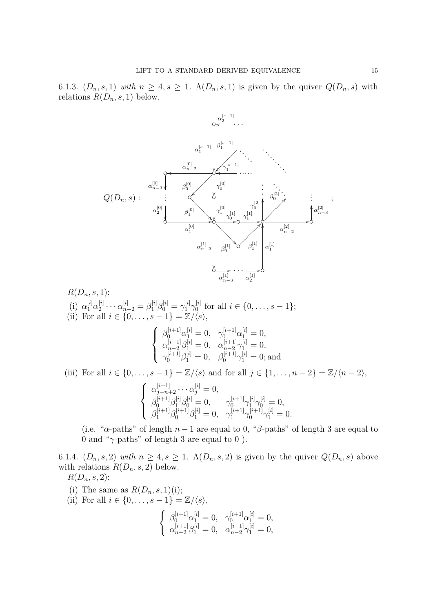6.1.3.  $(D_n, s, 1)$  *with*  $n \geq 4, s \geq 1$ .  $\Lambda(D_n, s, 1)$  is given by the quiver  $Q(D_n, s)$  with relations  $R(D_n, s, 1)$  below.



 $R(D_n, s, 1)$ : (i)  $\alpha_1^{[i]} \alpha_2^{[i]}$  $\alpha_{n-2}^{[i]} = \beta_1^{[i]} \beta_0^{[i]} = \gamma_1^{[i]} \gamma_0^{[i]}$  $i^{[i]}_0$  for all  $i \in \{0, \ldots, s-1\};$ (ii) For all  $i \in \{0, \ldots, s-1\} = \mathbb{Z}/\langle s \rangle$ ,  $\sqrt{ }$  $\int$  $\overline{a}$  $\beta_0^{[i+1]} \alpha_1^{[i]} = 0$ ,  $\gamma_0^{[i+1]} \alpha_1^{[i]} = 0$ ,  $\alpha_{n-2}^{[i+1]}\beta_1^{[i]}=0, \quad \alpha_{n-2}^{[i+1]}\gamma_1^{[i]}=0,$  $\gamma_0^{[i+1]}\beta_1^{[i]}=0, \quad \beta_0^{[i+1]}\gamma_1^{[i]}=0;$  and (iii) For all  $i \in \{0, \ldots, s-1\} = \mathbb{Z}/\langle s \rangle$  and for all  $j \in \{1, \ldots, n-2\} = \mathbb{Z}/\langle n-2 \rangle$ ,  $\sqrt{ }$  $\int$  $\mathbf{I}$  $\alpha_{j-n+2}^{[i+1]} \cdots \alpha_j^{[i]} = 0,$  $\beta_0^{[i+1]}\beta_1^{[i]}\beta_0^{[i]}=0,\qquad \gamma_0^{[i+1]}\gamma_1^{[i]}\gamma_0^{[i]}=0,$  $\beta_1^{[i+1]}\beta_0^{[i+1]}\beta_1^{[i]}=0, \quad \gamma_1^{[i+1]}\gamma_0^{[i+1]}\gamma_1^{[i]}=0.$ 

(i.e. " $\alpha$ -paths" of length  $n-1$  are equal to 0, " $\beta$ -paths" of length 3 are equal to 0 and "*γ*-paths" of length 3 are equal to 0 ).

6.1.4.  $(D_n, s, 2)$  *with*  $n \geq 4, s \geq 1$ .  $\Lambda(D_n, s, 2)$  is given by the quiver  $Q(D_n, s)$  above with relations  $R(D_n, s, 2)$  below.

 $R(D_n, s, 2)$ :

- (i) The same as  $R(D_n, s, 1)$ (i);
- (ii) For all  $i \in \{0, ..., s 1\} = \mathbb{Z}/\langle s \rangle$ ,

$$
\label{eq:21} \left\{ \begin{array}{ll} \beta_0^{[i+1]}\alpha_1^{[i]}=0, & \gamma_0^{[i+1]}\alpha_1^{[i]}=0, \\ \alpha_{n-2}^{[i+1]}\beta_1^{[i]}=0, & \alpha_{n-2}^{[i+1]}\gamma_1^{[i]}=0, \end{array} \right.
$$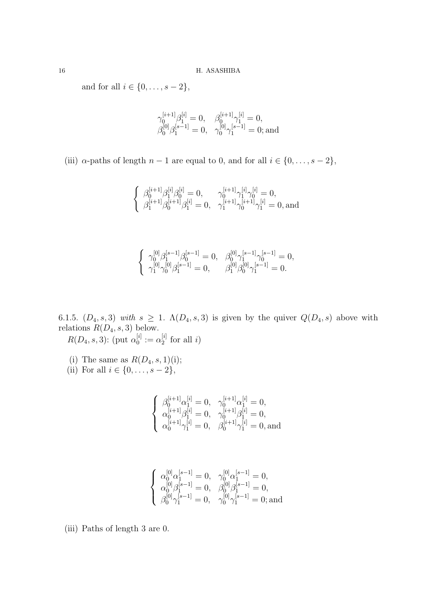and for all  $i \in \{0, ..., s - 2\}$ ,

$$
\begin{array}{ll}\gamma_0^{[i+1]}\beta_1^{[i]}=0,&\beta_0^{[i+1]}\gamma_1^{[i]}=0,\\ \beta_0^{[0]}\beta_1^{[s-1]}=0,&\gamma_0^{[0]}\gamma_1^{[s-1]}=0;\text{and}\end{array}
$$

(iii)  $\alpha$ -paths of length  $n-1$  are equal to 0, and for all  $i \in \{0, \ldots, s-2\}$ ,

$$
\left\{\begin{array}{ll}\beta_0^{[i+1]}\beta_1^{[i]}\beta_0^{[i]}=0, & \gamma_0^{[i+1]}\gamma_1^{[i]}\gamma_0^{[i]}=0,\\ \beta_1^{[i+1]}\beta_0^{[i+1]}\beta_1^{[i]}=0, & \gamma_1^{[i+1]}\gamma_0^{[i+1]}\gamma_1^{[i]}=0, \text{and}\end{array}\right.
$$

$$
\left\{\begin{array}{ll}\gamma_0^{[0]}\beta_1^{[s-1]}\beta_0^{[s-1]}=0, & \beta_0^{[0]}\gamma_1^{[s-1]}\gamma_0^{[s-1]}=0,\\ \gamma_1^{[0]}\gamma_0^{[0]}\beta_1^{[s-1]}=0, & \beta_1^{[0]}\beta_0^{[0]}\gamma_1^{[s-1]}=0.\end{array}\right.
$$

6.1.5.  $(D_4, s, 3)$  with  $s \geq 1$ .  $\Lambda(D_4, s, 3)$  is given by the quiver  $Q(D_4, s)$  above with relations  $R(D_4, s, 3)$  below.

 $R(D_4,s,3)$ : (put  $\alpha_0^{[i]}$  $\alpha_0^{[i]} := \alpha_2^{[i]}$  $i_2^{[i]}$  for all *i*)

(i) The same as  $R(D_4, s, 1)$ (i); (ii) For all  $i \in \{0, \ldots, s - 2\}$ ,

$$
\left\{\begin{array}{ll} \beta_0^{[i+1]}\alpha_1^{[i]}=0, & \gamma_0^{[i+1]}\alpha_1^{[i]}=0, \\ \alpha_0^{[i+1]}\beta_1^{[i]}=0, & \gamma_0^{[i+1]}\beta_1^{[i]}=0, \\ \alpha_0^{[i+1]}\gamma_1^{[i]}=0, & \beta_0^{[i+1]}\gamma_1^{[i]}=0, \text{and} \end{array}\right.
$$

$$
\left\{\begin{array}{ll} \alpha_0^{[0]}\alpha_1^{[s-1]}=0, & \gamma_0^{[0]}\alpha_1^{[s-1]}=0, \\ \alpha_0^{[0]}\beta_1^{[s-1]}=0, & \beta_0^{[0]}\beta_1^{[s-1]}=0, \\ \beta_0^{[0]}\gamma_1^{[s-1]}=0, & \gamma_0^{[0]}\gamma_1^{[s-1]}=0; \text{and} \end{array}\right.
$$

(iii) Paths of length 3 are 0.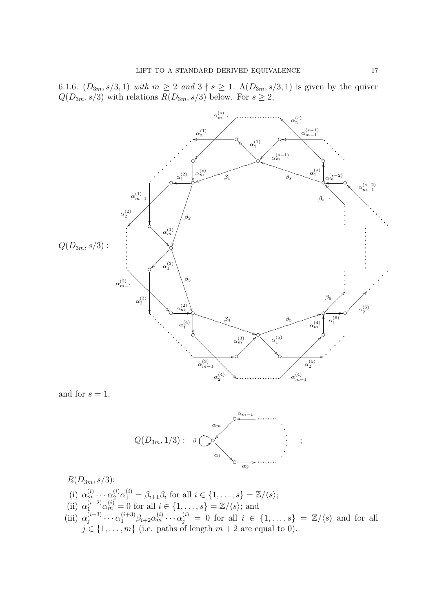6.1.6.  $(D_{3m}, s/3, 1)$  *with*  $m \geq 2$  *and*  $3 \nmid s \geq 1$ *.*  $\Lambda(D_{3m}, s/3, 1)$  is given by the quiver  $Q(D_{3m}, s/3)$  with relations  $R(D_{3m}, s/3)$  below. For  $s \geq 2$ ,



and for  $s = 1$ ,



 $R(D_{3m}, s/3)$ :

- (i)  $\alpha_m^{(i)} \cdots \alpha_2^{(i)} \alpha_1^{(i)} = \beta_{i+1} \beta_i$  for all  $i \in \{1, \ldots, s\} = \mathbb{Z}/\langle s \rangle;$
- (ii)  $\alpha_1^{(i+2)} \alpha_m^{(i)} = 0$  for all  $i \in \{1, ..., s\} = \mathbb{Z}/\langle s \rangle$ ; and
- (iii)  $\alpha_i^{(i+3)}$  $\alpha_j^{(i+3)} \cdots \alpha_1^{(i+3)} \beta_{i+2} \alpha_m^{(i)} \cdots \alpha_j^{(i)} = 0$  for all  $i \in \{1, \ldots, s\} = \mathbb{Z}/\langle s \rangle$  and for all  $j \in \{1, \ldots, m\}$  (i.e. paths of length  $m + 2$  are equal to 0).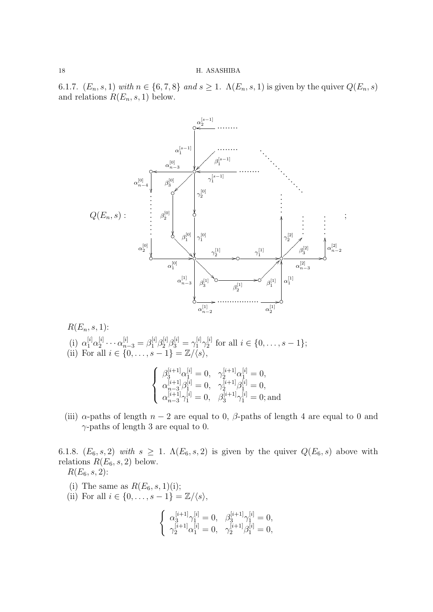6.1.7.  $(E_n, s, 1)$  with  $n \in \{6, 7, 8\}$  and  $s \ge 1$ .  $\Lambda(E_n, s, 1)$  is given by the quiver  $Q(E_n, s)$ and relations  $R(E_n, s, 1)$  below.



 $R(E_n, s, 1)$ : (i)  $\alpha_1^{[i]} \alpha_2^{[i]}$  $\alpha^{[i]}_{n-3} = \beta^{[i]}_1 \beta^{[i]}_2 \beta^{[i]}_3 = \gamma^{[i]}_1 \gamma^{[i]}_2$  $i^{[i]}_2$  for all  $i \in \{0, \ldots, s-1\};$ (ii) For all  $i \in \{0, \ldots, s-1\} = \mathbb{Z}/\langle s \rangle$ ,  $\sqrt{ }$  $\Big\}$  $\beta_3^{[i+1]}\alpha_1^{[i]}=0, \quad \gamma_2^{[i+1]}\alpha_1^{[i]}=0,$  $\alpha_{n-3}^{[i+1]}\beta_1^{[i]}=0, \quad \gamma_2^{[i+1]}\beta_1^{[i]}=0,$ 

(iii)  $\alpha$ -paths of length  $n-2$  are equal to 0,  $\beta$ -paths of length 4 are equal to 0 and *γ*-paths of length 3 are equal to 0.

 $\alpha_{n-3}^{[i+1]}\gamma_1^{[i]}=0$ ,  $\beta_3^{[i+1]}\gamma_1^{[i]}=0$ ; and

6.1.8.  $(E_6, s, 2)$  *with*  $s \geq 1$ .  $\Lambda(E_6, s, 2)$  is given by the quiver  $Q(E_6, s)$  above with relations  $R(E_6, s, 2)$  below.

 $R(E_6, s, 2)$ :

- (i) The same as  $R(E_6, s, 1)$ (i);
- (ii) For all  $i \in \{0, ..., s 1\} = \mathbb{Z}/\langle s \rangle$ ,

 $\overline{\mathcal{L}}$ 

$$
\left\{\begin{array}{ll} \alpha_3^{[i+1]}\gamma_1^{[i]}=0, & \beta_3^{[i+1]}\gamma_1^{[i]}=0, \\ \gamma_2^{[i+1]}\alpha_1^{[i]}=0, & \gamma_2^{[i+1]}\beta_1^{[i]}=0, \end{array}\right.
$$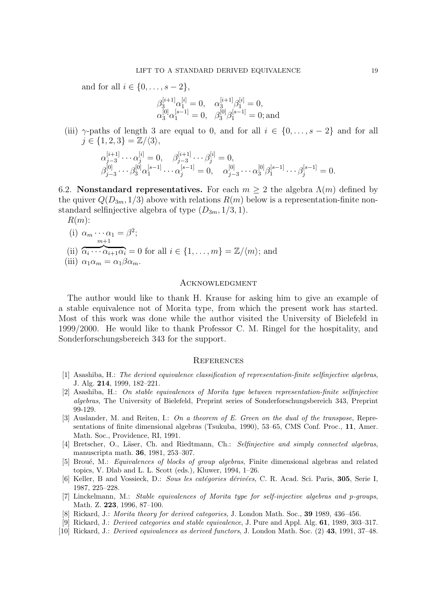and for all  $i \in \{0, \ldots, s-2\},\$ 

$$
\begin{array}{ll}\beta_3^{[i+1]}\alpha_1^{[i]}=0,&\alpha_3^{[i+1]}\beta_1^{[i]}=0,\\ \alpha_3^{[0]}\alpha_1^{[s-1]}=0,&\beta_3^{[0]}\beta_1^{[s-1]}=0;\text{and}\end{array}
$$

(iii)  $\gamma$ -paths of length 3 are equal to 0, and for all  $i \in \{0, \ldots, s-2\}$  and for all  $j \in \{1, 2, 3\} = \mathbb{Z}/\langle 3 \rangle$ ,

$$
\alpha_{j-3}^{[i+1]} \cdots \alpha_j^{[i]} = 0, \quad \beta_{j-3}^{[i+1]} \cdots \beta_j^{[i]} = 0, \n\beta_{j-3}^{[0]} \cdots \beta_3^{[0]} \alpha_1^{[s-1]} \cdots \alpha_j^{[s-1]} = 0, \quad \alpha_{j-3}^{[0]} \cdots \alpha_3^{[0]} \beta_1^{[s-1]} \cdots \beta_j^{[s-1]} = 0.
$$

6.2. **Nonstandard representatives.** For each  $m \geq 2$  the algebra  $\Lambda(m)$  defined by the quiver  $Q(D_{3m}, 1/3)$  above with relations  $R(m)$  below is a representation-finite nonstandard selfinjective algebra of type  $(D_{3m}, 1/3, 1)$ .

*R*(*m*):

(i) 
$$
\alpha_m \cdots \alpha_1 = \beta^2;
$$
  
 $\stackrel{m+1}{m+1}$ 

(ii)  ${\overline{\alpha_i \cdots \alpha_{i+1} \alpha_i}} = 0$  for all  $i \in \{1, \ldots, m\} = \mathbb{Z}/\langle m \rangle$ ; and

(iii) 
$$
\alpha_1 \alpha_m = \alpha_1 \beta \alpha_m
$$
.

### **ACKNOWLEDGMENT**

The author would like to thank H. Krause for asking him to give an example of a stable equivalence not of Morita type, from which the present work has started. Most of this work was done while the author visited the University of Bielefeld in 1999/2000. He would like to thank Professor C. M. Ringel for the hospitality, and Sonderforschungsbereich 343 for the support.

### **REFERENCES**

- [1] Asashiba, H.: *The derived equivalence classification of representation-finite selfinjective algebras*, J. Alg. **214**, 1999, 182–221.
- [2] Asashiba, H.: *On stable equivalences of Morita type between representation-finite selfinjective algebras*, The University of Bielefeld, Preprint series of Sonderforschungsbereich 343, Preprint 99-129.
- [3] Auslander, M. and Reiten, I.: *On a theorem of E. Green on the dual of the transpose*, Representations of finite dimensional algebras (Tsukuba, 1990), 53–65, CMS Conf. Proc., **11**, Amer. Math. Soc., Providence, RI, 1991.
- [4] Bretscher, O., Läser, Ch. and Riedtmann, Ch.: *Selfinjective and simply connected algebras*, manuscripta math. **36**, 1981, 253–307.
- [5] Brou´e, M.: *Equivalences of blocks of group algebras*, Finite dimensional algebras and related topics, V. Dlab and L. L. Scott (eds.), Kluwer, 1994, 1–26.
- [6] Keller, B and Vossieck, D.: *Sous les cat´egories d´eriv´ees*, C. R. Acad. Sci. Paris, **305**, Serie I, 1987, 225–228.
- [7] Linckelmann, M.: *Stable equivalences of Morita type for self-injective algebras and p-groups*, Math. Z. **223**, 1996, 87–100.
- [8] Rickard, J.: *Morita theory for derived categories*, J. London Math. Soc., **39** 1989, 436–456.
- [9] Rickard, J.: *Derived categories and stable equivalence*, J. Pure and Appl. Alg. **61**, 1989, 303–317.
- [10] Rickard, J.: *Derived equivalences as derived functors*, J. London Math. Soc. (2) **43**, 1991, 37–48.